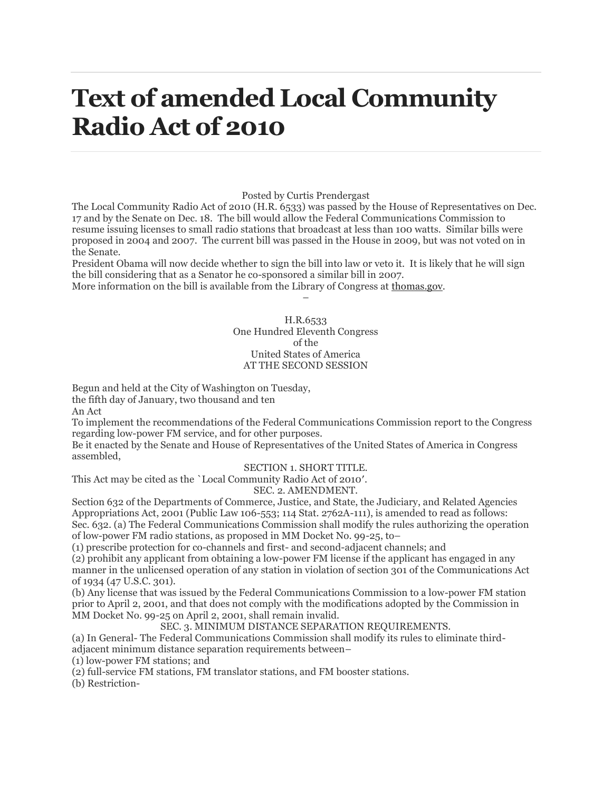# **Text of amended Local Community Radio Act of 2010**

#### Posted by Curtis Prendergast

The Local Community Radio Act of 2010 (H.R. 6533) was passed by the House of Representatives on Dec. 17 and by the Senate on Dec. 18. The bill would allow the Federal Communications Commission to resume issuing licenses to small radio stations that broadcast at less than 100 watts. Similar bills were proposed in 2004 and 2007. The current bill was passed in the House in 2009, but was not voted on in the Senate.

President Obama will now decide whether to sign the bill into law or veto it. It is likely that he will sign the bill considering that as a Senator he co-sponsored a similar bill in 2007.

More information on the bill is available from the Library of Congress at [thomas.gov.](http://thomas.gov/)

#### H.R.6533 One Hundred Eleventh Congress of the United States of America AT THE SECOND SESSION

–

Begun and held at the City of Washington on Tuesday, the fifth day of January, two thousand and ten An Act

To implement the recommendations of the Federal Communications Commission report to the Congress regarding low-power FM service, and for other purposes.

Be it enacted by the Senate and House of Representatives of the United States of America in Congress assembled,

#### SECTION 1. SHORT TITLE.

This Act may be cited as the `Local Community Radio Act of 2010′.

#### SEC. 2. AMENDMENT.

Section 632 of the Departments of Commerce, Justice, and State, the Judiciary, and Related Agencies Appropriations Act, 2001 (Public Law 106-553; 114 Stat. 2762A-111), is amended to read as follows: Sec. 632. (a) The Federal Communications Commission shall modify the rules authorizing the operation of low-power FM radio stations, as proposed in MM Docket No. 99-25, to–

(1) prescribe protection for co-channels and first- and second-adjacent channels; and

(2) prohibit any applicant from obtaining a low-power FM license if the applicant has engaged in any manner in the unlicensed operation of any station in violation of section 301 of the Communications Act of 1934 (47 U.S.C. 301).

(b) Any license that was issued by the Federal Communications Commission to a low-power FM station prior to April 2, 2001, and that does not comply with the modifications adopted by the Commission in MM Docket No. 99-25 on April 2, 2001, shall remain invalid.

SEC. 3. MINIMUM DISTANCE SEPARATION REQUIREMENTS.

(a) In General- The Federal Communications Commission shall modify its rules to eliminate thirdadjacent minimum distance separation requirements between–

(1) low-power FM stations; and

(2) full-service FM stations, FM translator stations, and FM booster stations.

(b) Restriction-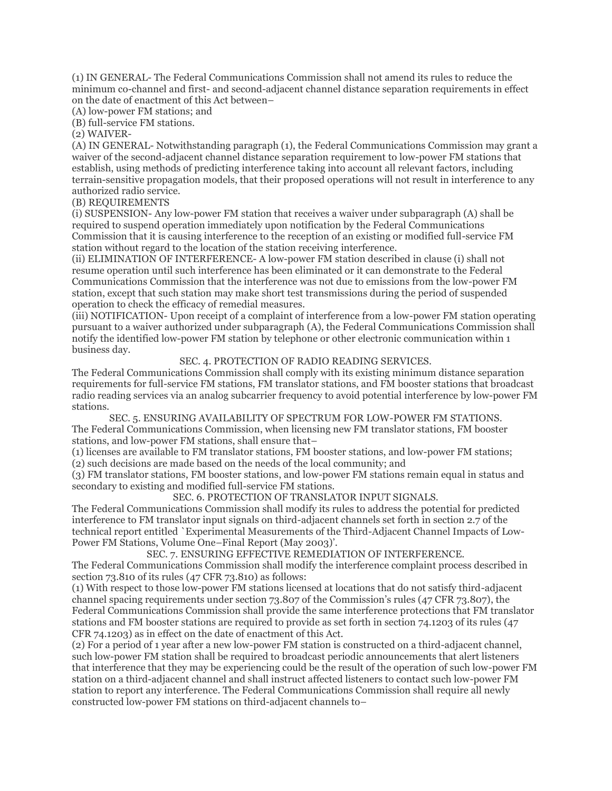(1) IN GENERAL- The Federal Communications Commission shall not amend its rules to reduce the minimum co-channel and first- and second-adjacent channel distance separation requirements in effect on the date of enactment of this Act between–

(A) low-power FM stations; and

(B) full-service FM stations.

(2) WAIVER-

(A) IN GENERAL- Notwithstanding paragraph (1), the Federal Communications Commission may grant a waiver of the second-adjacent channel distance separation requirement to low-power FM stations that establish, using methods of predicting interference taking into account all relevant factors, including terrain-sensitive propagation models, that their proposed operations will not result in interference to any authorized radio service.

## (B) REQUIREMENTS

(i) SUSPENSION- Any low-power FM station that receives a waiver under subparagraph (A) shall be required to suspend operation immediately upon notification by the Federal Communications Commission that it is causing interference to the reception of an existing or modified full-service FM station without regard to the location of the station receiving interference.

(ii) ELIMINATION OF INTERFERENCE- A low-power FM station described in clause (i) shall not resume operation until such interference has been eliminated or it can demonstrate to the Federal Communications Commission that the interference was not due to emissions from the low-power FM station, except that such station may make short test transmissions during the period of suspended operation to check the efficacy of remedial measures.

(iii) NOTIFICATION- Upon receipt of a complaint of interference from a low-power FM station operating pursuant to a waiver authorized under subparagraph (A), the Federal Communications Commission shall notify the identified low-power FM station by telephone or other electronic communication within 1 business day.

### SEC. 4. PROTECTION OF RADIO READING SERVICES.

The Federal Communications Commission shall comply with its existing minimum distance separation requirements for full-service FM stations, FM translator stations, and FM booster stations that broadcast radio reading services via an analog subcarrier frequency to avoid potential interference by low-power FM stations.

SEC. 5. ENSURING AVAILABILITY OF SPECTRUM FOR LOW-POWER FM STATIONS. The Federal Communications Commission, when licensing new FM translator stations, FM booster stations, and low-power FM stations, shall ensure that–

(1) licenses are available to FM translator stations, FM booster stations, and low-power FM stations; (2) such decisions are made based on the needs of the local community; and

(3) FM translator stations, FM booster stations, and low-power FM stations remain equal in status and secondary to existing and modified full-service FM stations.

SEC. 6. PROTECTION OF TRANSLATOR INPUT SIGNALS.

The Federal Communications Commission shall modify its rules to address the potential for predicted interference to FM translator input signals on third-adjacent channels set forth in section 2.7 of the technical report entitled `Experimental Measurements of the Third-Adjacent Channel Impacts of Low-Power FM Stations, Volume One–Final Report (May 2003)'.

SEC. 7. ENSURING EFFECTIVE REMEDIATION OF INTERFERENCE. The Federal Communications Commission shall modify the interference complaint process described in section 73.810 of its rules (47 CFR 73.810) as follows:

(1) With respect to those low-power FM stations licensed at locations that do not satisfy third-adjacent channel spacing requirements under section 73.807 of the Commission's rules (47 CFR 73.807), the Federal Communications Commission shall provide the same interference protections that FM translator stations and FM booster stations are required to provide as set forth in section 74.1203 of its rules (47 CFR 74.1203) as in effect on the date of enactment of this Act.

(2) For a period of 1 year after a new low-power FM station is constructed on a third-adjacent channel, such low-power FM station shall be required to broadcast periodic announcements that alert listeners that interference that they may be experiencing could be the result of the operation of such low-power FM station on a third-adjacent channel and shall instruct affected listeners to contact such low-power FM station to report any interference. The Federal Communications Commission shall require all newly constructed low-power FM stations on third-adjacent channels to–